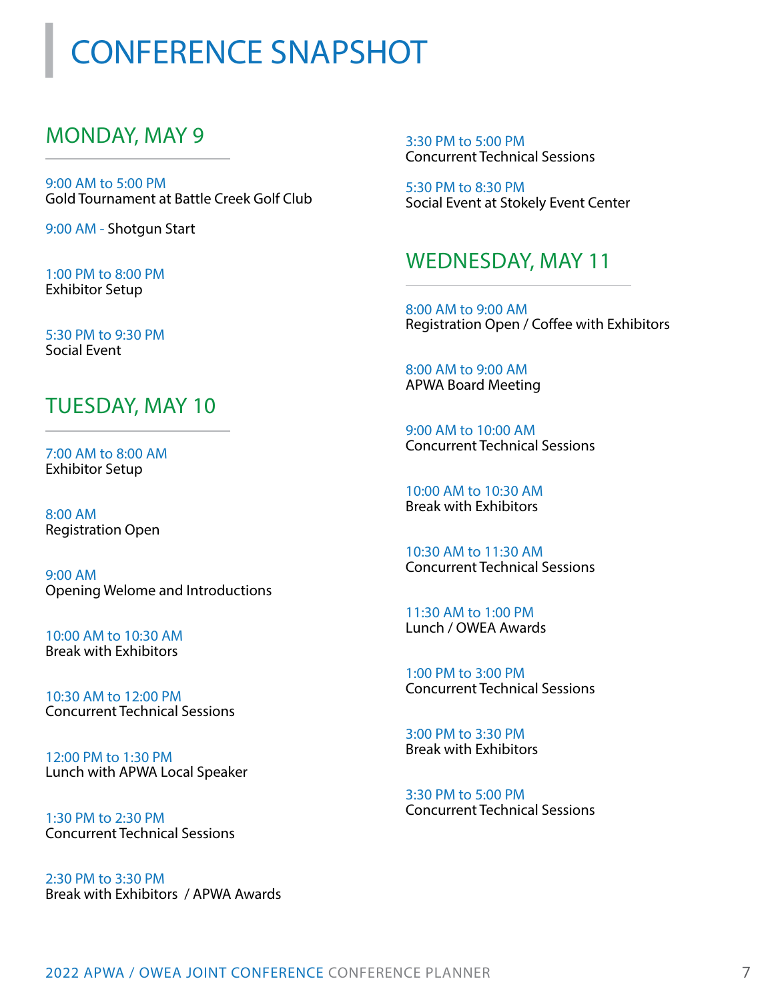### CONFERENCE SNAPSHOT

### MONDAY, MAY 9

9:00 AM to 5:00 PM Gold Tournament at Battle Creek Golf Club

9:00 AM - Shotgun Start

1:00 PM to 8:00 PM Exhibitor Setup

5:30 PM to 9:30 PM Social Event

#### TUESDAY, MAY 10

7:00 AM to 8:00 AM Exhibitor Setup

8:00 AM Registration Open

9:00 AM Opening Welome and Introductions

10:00 AM to 10:30 AM Break with Exhibitors

10:30 AM to 12:00 PM Concurrent Technical Sessions

12:00 PM to 1:30 PM Lunch with APWA Local Speaker

1:30 PM to 2:30 PM Concurrent Technical Sessions

2:30 PM to 3:30 PM Break with Exhibitors / APWA Awards 3:30 PM to 5:00 PM Concurrent Technical Sessions

5:30 PM to 8:30 PM Social Event at Stokely Event Center

#### WEDNESDAY, MAY 11

8:00 AM to 9:00 AM Registration Open / Coffee with Exhibitors

8:00 AM to 9:00 AM APWA Board Meeting

9:00 AM to 10:00 AM Concurrent Technical Sessions

10:00 AM to 10:30 AM Break with Exhibitors

10:30 AM to 11:30 AM Concurrent Technical Sessions

11:30 AM to 1:00 PM Lunch / OWEA Awards

1:00 PM to 3:00 PM Concurrent Technical Sessions

3:00 PM to 3:30 PM Break with Exhibitors

3:30 PM to 5:00 PM Concurrent Technical Sessions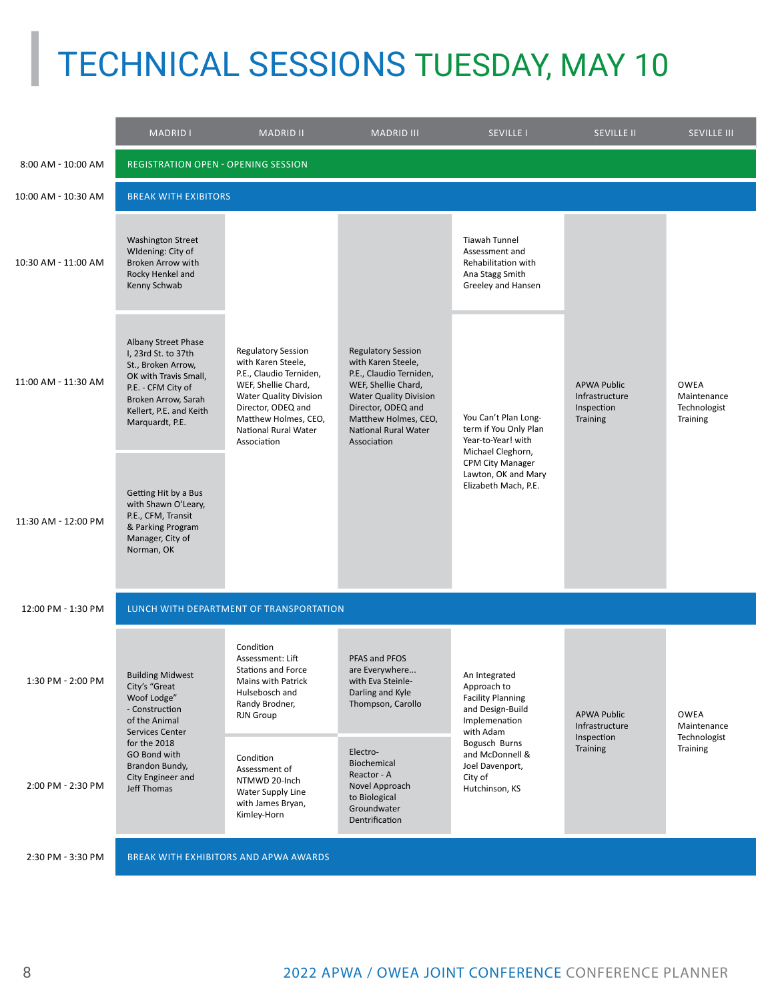### TECHNICAL SESSIONS TUESDAY, MAY 10

|                     | <b>MADRID I</b>                                                                                                                                                                                            | <b>MADRID II</b>                                                                                                                                                                                                        | <b>MADRID III</b>                                                                                                                                                                                                              | <b>SEVILLE I</b>                                                                                                                                                                               | <b>SEVILLE II</b>                                              | <b>SEVILLE III</b>                                     |  |
|---------------------|------------------------------------------------------------------------------------------------------------------------------------------------------------------------------------------------------------|-------------------------------------------------------------------------------------------------------------------------------------------------------------------------------------------------------------------------|--------------------------------------------------------------------------------------------------------------------------------------------------------------------------------------------------------------------------------|------------------------------------------------------------------------------------------------------------------------------------------------------------------------------------------------|----------------------------------------------------------------|--------------------------------------------------------|--|
| 8:00 AM - 10:00 AM  | <b>REGISTRATION OPEN - OPENING SESSION</b>                                                                                                                                                                 |                                                                                                                                                                                                                         |                                                                                                                                                                                                                                |                                                                                                                                                                                                |                                                                |                                                        |  |
| 10:00 AM - 10:30 AM | <b>BREAK WITH EXIBITORS</b>                                                                                                                                                                                |                                                                                                                                                                                                                         |                                                                                                                                                                                                                                |                                                                                                                                                                                                |                                                                |                                                        |  |
| 10:30 AM - 11:00 AM | <b>Washington Street</b><br>Widening: City of<br>Broken Arrow with<br>Rocky Henkel and<br>Kenny Schwab                                                                                                     | <b>Regulatory Session</b><br>with Karen Steele,<br>P.E., Claudio Terniden,<br>WEF, Shellie Chard,<br><b>Water Quality Division</b><br>Director, ODEQ and<br>Matthew Holmes, CEO,<br>National Rural Water<br>Association | <b>Regulatory Session</b><br>with Karen Steele,<br>P.E., Claudio Terniden,<br>WEF, Shellie Chard,<br><b>Water Quality Division</b><br>Director, ODEQ and<br>Matthew Holmes, CEO,<br><b>National Rural Water</b><br>Association | Tiawah Tunnel<br>Assessment and<br>Rehabilitation with<br>Ana Stagg Smith<br>Greeley and Hansen                                                                                                | <b>APWA Public</b><br>Infrastructure<br>Inspection<br>Training | <b>OWEA</b><br>Maintenance<br>Technologist<br>Training |  |
| 11:00 AM - 11:30 AM | Albany Street Phase<br>I, 23rd St. to 37th<br>St., Broken Arrow,<br>OK with Travis Small,<br>P.E. - CFM City of<br>Broken Arrow, Sarah<br>Kellert, P.E. and Keith<br>Marquardt, P.E.                       |                                                                                                                                                                                                                         |                                                                                                                                                                                                                                | You Can't Plan Long-<br>term if You Only Plan<br>Year-to-Year! with<br>Michael Cleghorn,<br><b>CPM City Manager</b><br>Lawton, OK and Mary<br>Elizabeth Mach, P.E.                             |                                                                |                                                        |  |
| 11:30 AM - 12:00 PM | Getting Hit by a Bus<br>with Shawn O'Leary,<br>P.E., CFM, Transit<br>& Parking Program<br>Manager, City of<br>Norman, OK                                                                                   |                                                                                                                                                                                                                         |                                                                                                                                                                                                                                |                                                                                                                                                                                                |                                                                |                                                        |  |
| 12:00 PM - 1:30 PM  | LUNCH WITH DEPARTMENT OF TRANSPORTATION                                                                                                                                                                    |                                                                                                                                                                                                                         |                                                                                                                                                                                                                                |                                                                                                                                                                                                |                                                                |                                                        |  |
| 1:30 PM - 2:00 PM   | <b>Building Midwest</b><br>City's "Great<br>Woof Lodge"<br>- Construction<br>of the Animal<br><b>Services Center</b><br>for the 2018<br>GO Bond with<br>Brandon Bundy,<br>City Engineer and<br>Jeff Thomas | Condition<br>Assessment: Lift<br><b>Stations and Force</b><br>Mains with Patrick<br>Hulsebosch and<br>Randy Brodner,<br>RJN Group                                                                                       | PFAS and PFOS<br>are Everywhere<br>with Eva Steinle-<br>Darling and Kyle<br>Thompson, Carollo                                                                                                                                  | An Integrated<br>Approach to<br><b>Facility Planning</b><br>and Design-Build<br>Implemenation<br>with Adam<br>Bogusch Burns<br>and McDonnell &<br>Joel Davenport,<br>City of<br>Hutchinson, KS | <b>APWA Public</b><br>Infrastructure<br>Inspection<br>Training | OWEA<br>Maintenance<br>Technologist<br>Training        |  |
| 2:00 PM - 2:30 PM   |                                                                                                                                                                                                            | Condition<br>Assessment of<br>NTMWD 20-Inch<br>Water Supply Line<br>with James Bryan,<br>Kimley-Horn                                                                                                                    | Electro-<br>Biochemical<br>Reactor - A<br>Novel Approach<br>to Biological<br>Groundwater<br>Dentrification                                                                                                                     |                                                                                                                                                                                                |                                                                |                                                        |  |
| 2:30 PM - 3:30 PM   |                                                                                                                                                                                                            | BREAK WITH EXHIBITORS AND APWA AWARDS                                                                                                                                                                                   |                                                                                                                                                                                                                                |                                                                                                                                                                                                |                                                                |                                                        |  |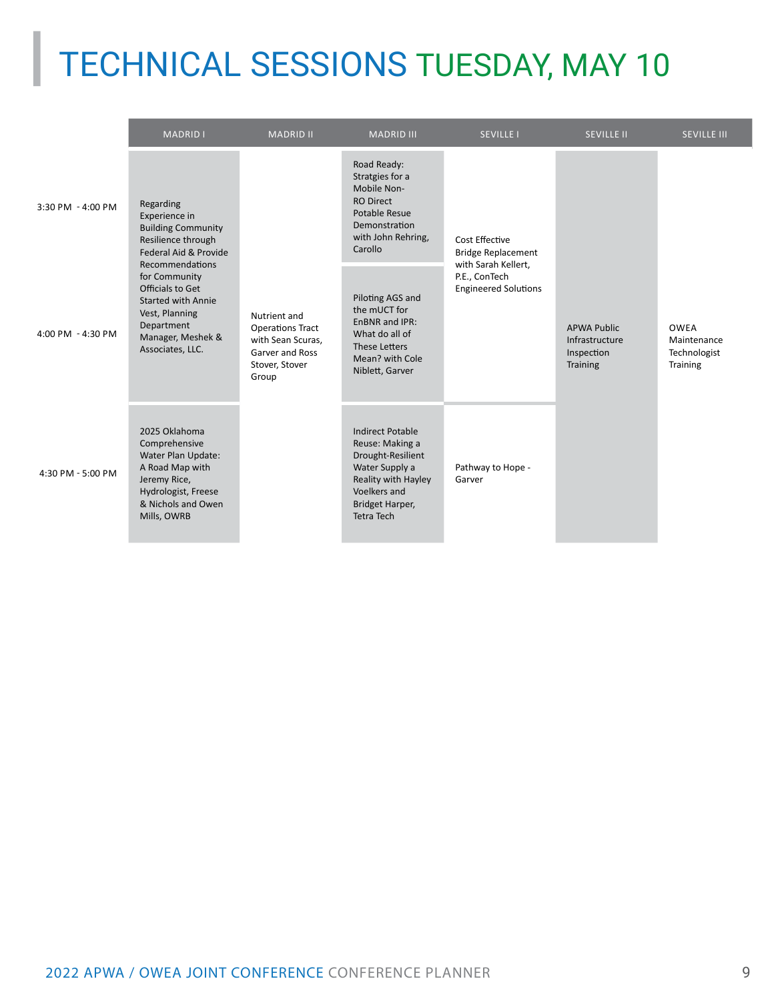# TECHNICAL SESSIONS TUESDAY, MAY 10

|                   | <b>MADRID I</b>                                                                                                                                                                                                                                                      | <b>MADRID II</b>                                                                                           | <b>MADRID III</b>                                                                                                                                                | <b>SEVILLE I</b>                                                                                                   | <b>SEVILLE II</b>                                              | <b>SEVILLE III</b>                                     |
|-------------------|----------------------------------------------------------------------------------------------------------------------------------------------------------------------------------------------------------------------------------------------------------------------|------------------------------------------------------------------------------------------------------------|------------------------------------------------------------------------------------------------------------------------------------------------------------------|--------------------------------------------------------------------------------------------------------------------|----------------------------------------------------------------|--------------------------------------------------------|
| 3:30 PM - 4:00 PM | Regarding<br>Experience in<br><b>Building Community</b><br>Resilience through<br>Federal Aid & Provide<br>Recommendations<br>for Community<br>Officials to Get<br><b>Started with Annie</b><br>Vest, Planning<br>Department<br>Manager, Meshek &<br>Associates, LLC. | Nutrient and<br><b>Operations Tract</b><br>with Sean Scuras,<br>Garver and Ross<br>Stover, Stover<br>Group | Road Ready:<br>Stratgies for a<br>Mobile Non-<br><b>RO Direct</b><br>Potable Resue<br>Demonstration<br>with John Rehring,<br>Carollo                             | Cost Effective<br><b>Bridge Replacement</b><br>with Sarah Kellert,<br>P.E., ConTech<br><b>Engineered Solutions</b> | <b>APWA Public</b><br>Infrastructure<br>Inspection<br>Training | <b>OWEA</b><br>Maintenance<br>Technologist<br>Training |
| 4:00 PM - 4:30 PM |                                                                                                                                                                                                                                                                      |                                                                                                            | Piloting AGS and<br>the mUCT for<br>EnBNR and IPR:<br>What do all of<br><b>These Letters</b><br>Mean? with Cole<br>Niblett, Garver                               |                                                                                                                    |                                                                |                                                        |
| 4:30 PM - 5:00 PM | 2025 Oklahoma<br>Comprehensive<br>Water Plan Update:<br>A Road Map with<br>Jeremy Rice,<br>Hydrologist, Freese<br>& Nichols and Owen<br>Mills, OWRB                                                                                                                  |                                                                                                            | <b>Indirect Potable</b><br>Reuse: Making a<br>Drought-Resilient<br>Water Supply a<br>Reality with Hayley<br>Voelkers and<br>Bridget Harper,<br><b>Tetra Tech</b> | Pathway to Hope -<br>Garver                                                                                        |                                                                |                                                        |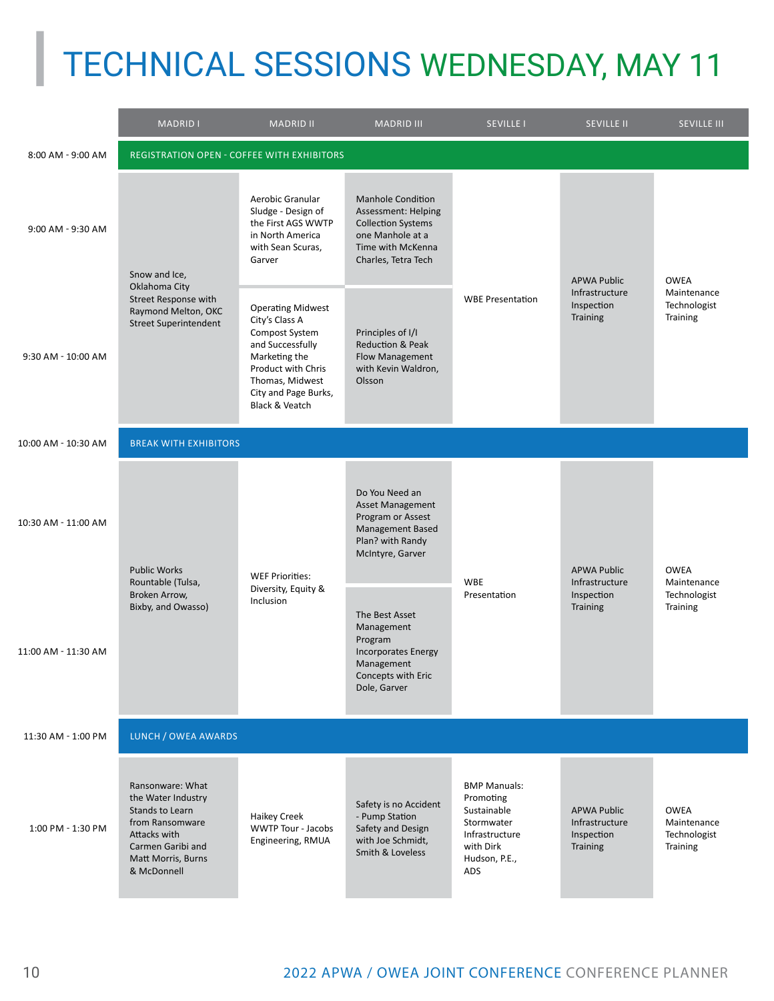## TECHNICAL SESSIONS WEDNESDAY, MAY 11

|                     | <b>MADRID I</b>                                                                                                                                        | <b>MADRID II</b>                                                                                                                                                                                | <b>MADRID III</b>                                                                                                                            | <b>SEVILLE I</b>                                                                                                     | <b>SEVILLE II</b>                                              | <b>SEVILLE III</b>                                     |  |
|---------------------|--------------------------------------------------------------------------------------------------------------------------------------------------------|-------------------------------------------------------------------------------------------------------------------------------------------------------------------------------------------------|----------------------------------------------------------------------------------------------------------------------------------------------|----------------------------------------------------------------------------------------------------------------------|----------------------------------------------------------------|--------------------------------------------------------|--|
| 8:00 AM - 9:00 AM   | <b>REGISTRATION OPEN - COFFEE WITH EXHIBITORS</b>                                                                                                      |                                                                                                                                                                                                 |                                                                                                                                              |                                                                                                                      |                                                                |                                                        |  |
| 9:00 AM - 9:30 AM   | Snow and Ice,<br>Oklahoma City<br>Street Response with<br>Raymond Melton, OKC<br><b>Street Superintendent</b>                                          | Aerobic Granular<br>Sludge - Design of<br>the First AGS WWTP<br>in North America<br>with Sean Scuras,<br>Garver                                                                                 | <b>Manhole Condition</b><br>Assessment: Helping<br><b>Collection Systems</b><br>one Manhole at a<br>Time with McKenna<br>Charles, Tetra Tech | <b>WBE Presentation</b>                                                                                              | <b>APWA Public</b><br>Infrastructure<br>Inspection<br>Training | <b>OWEA</b><br>Maintenance<br>Technologist<br>Training |  |
| 9:30 AM - 10:00 AM  |                                                                                                                                                        | <b>Operating Midwest</b><br>City's Class A<br>Compost System<br>and Successfully<br>Marketing the<br>Product with Chris<br>Thomas, Midwest<br>City and Page Burks,<br><b>Black &amp; Veatch</b> | Principles of I/I<br><b>Reduction &amp; Peak</b><br>Flow Management<br>with Kevin Waldron,<br>Olsson                                         |                                                                                                                      |                                                                |                                                        |  |
| 10:00 AM - 10:30 AM | <b>BREAK WITH EXHIBITORS</b>                                                                                                                           |                                                                                                                                                                                                 |                                                                                                                                              |                                                                                                                      |                                                                |                                                        |  |
| 10:30 AM - 11:00 AM | <b>Public Works</b><br>Rountable (Tulsa,<br>Broken Arrow,<br>Bixby, and Owasso)                                                                        | <b>WEF Priorities:</b><br>Diversity, Equity &<br>Inclusion                                                                                                                                      | Do You Need an<br><b>Asset Management</b><br>Program or Assest<br>Management Based<br>Plan? with Randy<br>McIntyre, Garver                   | <b>WBE</b><br>Presentation                                                                                           | <b>APWA Public</b><br>Infrastructure<br>Inspection<br>Training | <b>OWEA</b><br>Maintenance<br>Technologist<br>Training |  |
| 11:00 AM - 11:30 AM |                                                                                                                                                        |                                                                                                                                                                                                 | The Best Asset<br>Management<br>Program<br><b>Incorporates Energy</b><br>Management<br>Concepts with Eric<br>Dole, Garver                    |                                                                                                                      |                                                                |                                                        |  |
| 11:30 AM - 1:00 PM  | LUNCH / OWEA AWARDS                                                                                                                                    |                                                                                                                                                                                                 |                                                                                                                                              |                                                                                                                      |                                                                |                                                        |  |
| 1:00 PM - 1:30 PM   | Ransonware: What<br>the Water Industry<br>Stands to Learn<br>from Ransomware<br>Attacks with<br>Carmen Garibi and<br>Matt Morris, Burns<br>& McDonnell | <b>Haikey Creek</b><br>WWTP Tour - Jacobs<br>Engineering, RMUA                                                                                                                                  | Safety is no Accident<br>- Pump Station<br>Safety and Design<br>with Joe Schmidt,<br>Smith & Loveless                                        | <b>BMP Manuals:</b><br>Promoting<br>Sustainable<br>Stormwater<br>Infrastructure<br>with Dirk<br>Hudson, P.E.,<br>ADS | <b>APWA Public</b><br>Infrastructure<br>Inspection<br>Training | <b>OWEA</b><br>Maintenance<br>Technologist<br>Training |  |